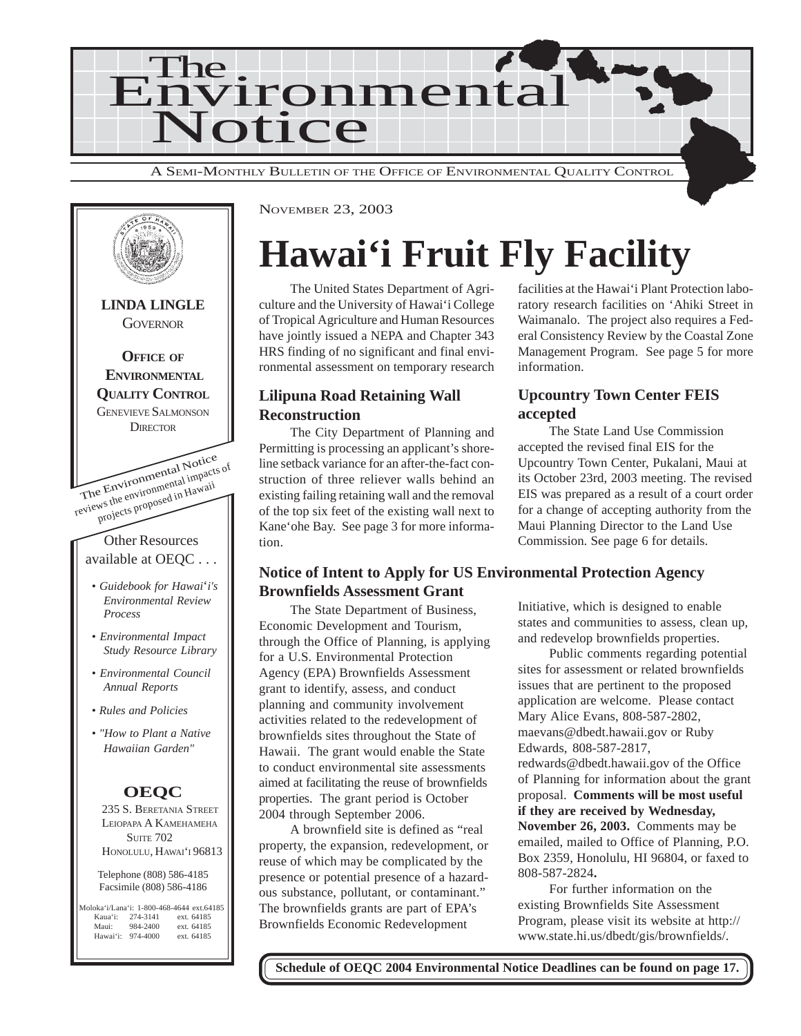



NOVEMBER 23, 2003

## **Hawai'i Fruit Fly Facility**

The United States Department of Agriculture and the University of Hawai'i College of Tropical Agriculture and Human Resources have jointly issued a NEPA and Chapter 343 HRS finding of no significant and final environmental assessment on temporary research

#### **Lilipuna Road Retaining Wall Reconstruction**

The City Department of Planning and Permitting is processing an applicant's shoreline setback variance for an after-the-fact construction of three reliever walls behind an existing failing retaining wall and the removal of the top six feet of the existing wall next to Kane'ohe Bay. See page 3 for more information.

facilities at the Hawai'i Plant Protection laboratory research facilities on 'Ahiki Street in Waimanalo. The project also requires a Federal Consistency Review by the Coastal Zone Management Program. See page 5 for more information.

#### **Upcountry Town Center FEIS accepted**

The State Land Use Commission accepted the revised final EIS for the Upcountry Town Center, Pukalani, Maui at its October 23rd, 2003 meeting. The revised EIS was prepared as a result of a court order for a change of accepting authority from the Maui Planning Director to the Land Use Commission. See page 6 for details.

#### **Notice of Intent to Apply for US Environmental Protection Agency Brownfields Assessment Grant**

The State Department of Business, Economic Development and Tourism, through the Office of Planning, is applying for a U.S. Environmental Protection Agency (EPA) Brownfields Assessment grant to identify, assess, and conduct planning and community involvement activities related to the redevelopment of brownfields sites throughout the State of Hawaii. The grant would enable the State to conduct environmental site assessments aimed at facilitating the reuse of brownfields properties. The grant period is October 2004 through September 2006.

A brownfield site is defined as "real property, the expansion, redevelopment, or reuse of which may be complicated by the presence or potential presence of a hazardous substance, pollutant, or contaminant." The brownfields grants are part of EPA's Brownfields Economic Redevelopment

Initiative, which is designed to enable states and communities to assess, clean up, and redevelop brownfields properties.

Public comments regarding potential sites for assessment or related brownfields issues that are pertinent to the proposed application are welcome. Please contact Mary Alice Evans, 808-587-2802, maevans@dbedt.hawaii.gov or Ruby Edwards, 808-587-2817, redwards@dbedt.hawaii.gov of the Office of Planning for information about the grant proposal. **Comments will be most useful if they are received by Wednesday, November 26, 2003.** Comments may be emailed, mailed to Office of Planning, P.O. Box 2359, Honolulu, HI 96804, or faxed to 808-587-2824**.**

For further information on the existing Brownfields Site Assessment Program, please visit its website at http:// www.state.hi.us/dbedt/gis/brownfields/.

**Schedule of OEQC 2004 Environmental Notice Deadlines can be found on page 17.**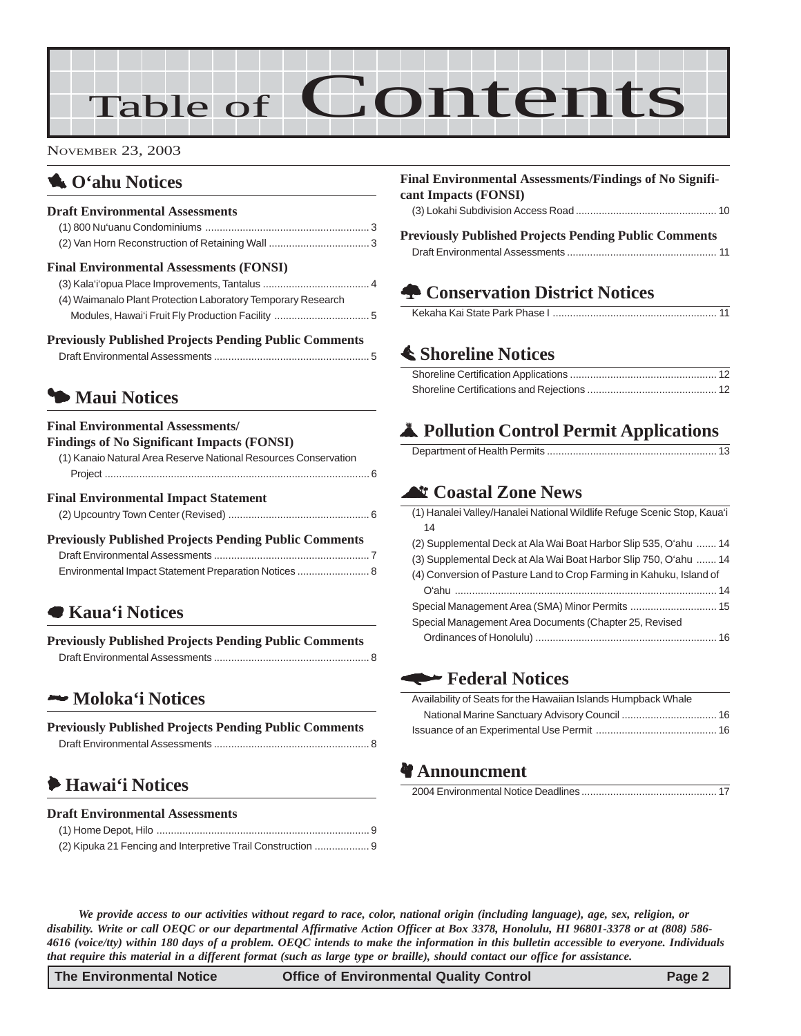# Table of Contents

#### NOVEMBER 23, 2003

## 1 **O'ahu Notices**

#### **Draft Environmental Assessments**

#### **Final Environmental Assessments (FONSI)**

| (4) Waimanalo Plant Protection Laboratory Temporary Research |
|--------------------------------------------------------------|
|                                                              |

| <b>Previously Published Projects Pending Public Comments</b> |  |
|--------------------------------------------------------------|--|
|                                                              |  |

## $\bullet$  **Maui Notices**

### **Final Environmental Assessments/**

| <b>Findings of No Significant Impacts (FONSI)</b>               |
|-----------------------------------------------------------------|
| (1) Kanaio Natural Area Reserve National Resources Conservation |
|                                                                 |
| <b>Final Environmental Impact Statement</b>                     |
|                                                                 |
| <b>Previously Published Projects Pending Public Comments</b>    |
|                                                                 |
| Environmental Impact Statement Preparation Notices  8           |
|                                                                 |

### 7 **Kaua'i Notices**

| <b>Previously Published Projects Pending Public Comments</b> |  |
|--------------------------------------------------------------|--|
|                                                              |  |

#### 2 **Moloka'i Notices**

| <b>Previously Published Projects Pending Public Comments</b> |  |
|--------------------------------------------------------------|--|
|                                                              |  |

## 6 **Hawai'i Notices**

#### **Draft Environmental Assessments**

| (2) Kipuka 21 Fencing and Interpretive Trail Construction |  |
|-----------------------------------------------------------|--|

#### **Final Environmental Assessments/Findings of No Significant Impacts (FONSI)** [\(3\) Lokahi Subdivision Access Road ................................................. 10](#page-9-0)

**Previously Published Projects Pending Public Comments** Draft Environmental Assessments .................................................... 11

## **A Conservation District Notices**

## s **[Shoreline Notices](#page-11-0)**

## V **Pollution Control Permit Applications**

|--|--|

## ^ **Coastal Zone News**

| (1) Hanalei Valley/Hanalei National Wildlife Refuge Scenic Stop, Kaua'i |
|-------------------------------------------------------------------------|
| 14                                                                      |
| (2) Supplemental Deck at Ala Wai Boat Harbor Slip 535, O'ahu  14        |
| (3) Supplemental Deck at Ala Wai Boat Harbor Slip 750, O'ahu  14        |
| (4) Conversion of Pasture Land to Crop Farming in Kahuku, Island of     |
|                                                                         |
|                                                                         |
| Special Management Area Documents (Chapter 25, Revised                  |
|                                                                         |
|                                                                         |

### w **Federal Notices**

| Availability of Seats for the Hawaiian Islands Humpback Whale |  |
|---------------------------------------------------------------|--|
|                                                               |  |
|                                                               |  |

## **Announcment**

2004 Environmental Notice Deadlines ............................................... 17

*We provide access to our activities without regard to race, color, national origin (including language), age, sex, religion, or disability. Write or call OEQC or our departmental Affirmative Action Officer at Box 3378, Honolulu, HI 96801-3378 or at (808) 586- 4616 (voice/tty) within 180 days of a problem. OEQC intends to make the information in this bulletin accessible to everyone. Individuals that require this material in a different format (such as large type or braille), should contact our office for assistance.*

**The Environmental Notice Office of Environmental Quality Control Page 2**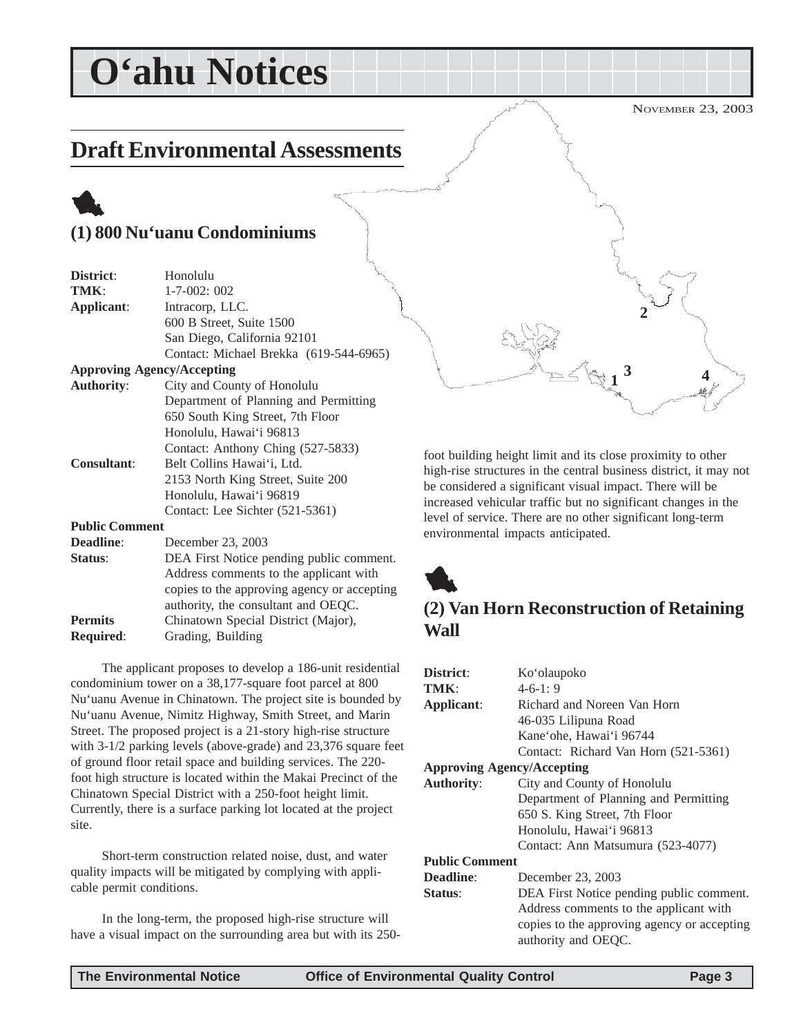## <span id="page-2-0"></span>**O'ahu Notices**

## **Draft Environmental Assessments**

## 1 **(1) 800 Nu'uanu Condominiums**

| District:             | سمهو<br>Honolulu                            |
|-----------------------|---------------------------------------------|
| TMK:                  | $1 - 7 - 002$ ; 002                         |
| Applicant:            | Intracorp, LLC.                             |
|                       | 600 B Street, Suite 1500                    |
|                       | San Diego, California 92101                 |
|                       | Contact: Michael Brekka (619-544-6965)      |
|                       | <b>Approving Agency/Accepting</b>           |
| <b>Authority:</b>     | City and County of Honolulu                 |
|                       | Department of Planning and Permitting       |
|                       | 650 South King Street, 7th Floor            |
|                       | Honolulu, Hawai'i 96813                     |
|                       | Contact: Anthony Ching (527-5833)           |
| <b>Consultant:</b>    | Belt Collins Hawai'i, Ltd.                  |
|                       | 2153 North King Street, Suite 200           |
|                       | Honolulu, Hawai'i 96819                     |
|                       | Contact: Lee Sichter (521-5361)             |
| <b>Public Comment</b> |                                             |
| <b>Deadline:</b>      | December 23, 2003                           |
| Status:               | DEA First Notice pending public comment.    |
|                       | Address comments to the applicant with      |
|                       | copies to the approving agency or accepting |

authority, the consultant and OEQC. **Permits** Chinatown Special District (Major), **Required**: Grading, Building

The applicant proposes to develop a 186-unit residential condominium tower on a 38,177-square foot parcel at 800 Nu'uanu Avenue in Chinatown. The project site is bounded by Nu'uanu Avenue, Nimitz Highway, Smith Street, and Marin Street. The proposed project is a 21-story high-rise structure with 3-1/2 parking levels (above-grade) and 23,376 square feet of ground floor retail space and building services. The 220 foot high structure is located within the Makai Precinct of the Chinatown Special District with a 250-foot height limit. Currently, there is a surface parking lot located at the project site.

Short-term construction related noise, dust, and water quality impacts will be mitigated by complying with applicable permit conditions.

In the long-term, the proposed high-rise structure will have a visual impact on the surrounding area but with its 250-

NOVEMBER 23, 2003 **1 3 2 4**

foot building height limit and its close proximity to other high-rise structures in the central business district, it may not be considered a significant visual impact. There will be increased vehicular traffic but no significant changes in the level of service. There are no other significant long-term environmental impacts anticipated.



## **(2) Van Horn Reconstruction of Retaining Wall**

| District:                         | Ko'olaupoko                                 |  |
|-----------------------------------|---------------------------------------------|--|
| TMK:                              | $4-6-1:9$                                   |  |
| Applicant:                        | Richard and Noreen Van Horn                 |  |
|                                   | 46-035 Lilipuna Road                        |  |
|                                   | Kane'ohe, Hawai'i 96744                     |  |
|                                   | Contact: Richard Van Horn (521-5361)        |  |
| <b>Approving Agency/Accepting</b> |                                             |  |
| <b>Authority:</b>                 | City and County of Honolulu                 |  |
|                                   | Department of Planning and Permitting       |  |
|                                   | 650 S. King Street, 7th Floor               |  |
|                                   | Honolulu, Hawai'i 96813                     |  |
|                                   | Contact: Ann Matsumura (523-4077)           |  |
| <b>Public Comment</b>             |                                             |  |
| Deadline:                         | December 23, 2003                           |  |
| Status:                           | DEA First Notice pending public comment.    |  |
|                                   | Address comments to the applicant with      |  |
|                                   | copies to the approving agency or accepting |  |
|                                   | authority and OEQC.                         |  |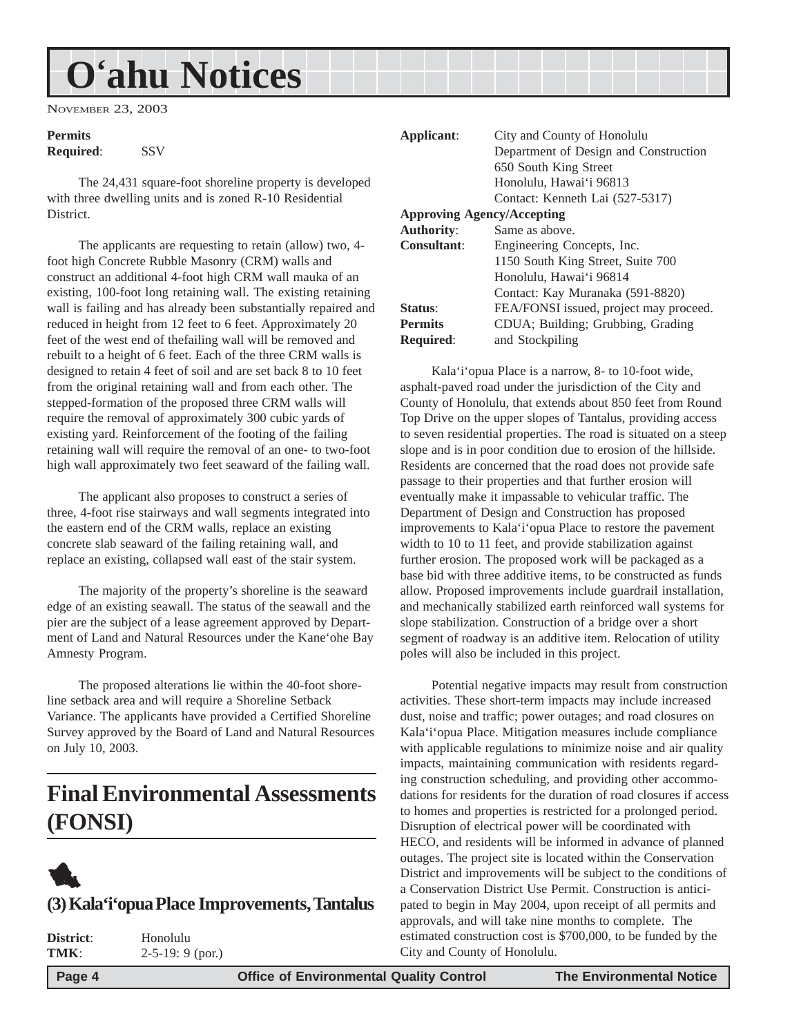## <span id="page-3-0"></span>**O'ahu Notices**

NOVEMBER 23, 2003

## **Permits**

**Required**: SSV

The 24,431 square-foot shoreline property is developed with three dwelling units and is zoned R-10 Residential District.

The applicants are requesting to retain (allow) two, 4 foot high Concrete Rubble Masonry (CRM) walls and construct an additional 4-foot high CRM wall mauka of an existing, 100-foot long retaining wall. The existing retaining wall is failing and has already been substantially repaired and reduced in height from 12 feet to 6 feet. Approximately 20 feet of the west end of thefailing wall will be removed and rebuilt to a height of 6 feet. Each of the three CRM walls is designed to retain 4 feet of soil and are set back 8 to 10 feet from the original retaining wall and from each other. The stepped-formation of the proposed three CRM walls will require the removal of approximately 300 cubic yards of existing yard. Reinforcement of the footing of the failing retaining wall will require the removal of an one- to two-foot high wall approximately two feet seaward of the failing wall.

The applicant also proposes to construct a series of three, 4-foot rise stairways and wall segments integrated into the eastern end of the CRM walls, replace an existing concrete slab seaward of the failing retaining wall, and replace an existing, collapsed wall east of the stair system.

The majority of the property's shoreline is the seaward edge of an existing seawall. The status of the seawall and the pier are the subject of a lease agreement approved by Department of Land and Natural Resources under the Kane'ohe Bay Amnesty Program.

The proposed alterations lie within the 40-foot shoreline setback area and will require a Shoreline Setback Variance. The applicants have provided a Certified Shoreline Survey approved by the Board of Land and Natural Resources on July 10, 2003.

## **Final Environmental Assessments (FONSI)**



### **(3) Kala'i'opua Place Improvements, Tantalus**

| District: | Honolulu           |  |
|-----------|--------------------|--|
| TMK:      | $2-5-19: 9$ (por.) |  |
|           |                    |  |

| Applicant:         | City and County of Honolulu            |
|--------------------|----------------------------------------|
|                    | Department of Design and Construction  |
|                    | 650 South King Street                  |
|                    | Honolulu, Hawai'i 96813                |
|                    | Contact: Kenneth Lai (527-5317)        |
|                    | <b>Approving Agency/Accepting</b>      |
| <b>Authority:</b>  | Same as above.                         |
| <b>Consultant:</b> | Engineering Concepts, Inc.             |
|                    | 1150 South King Street, Suite 700      |
|                    | Honolulu, Hawai'i 96814                |
|                    | Contact: Kay Muranaka (591-8820)       |
| Status:            | FEA/FONSI issued, project may proceed. |
| <b>Permits</b>     | CDUA; Building; Grubbing, Grading      |
| <b>Required:</b>   | and Stockpiling                        |

Kala'i'opua Place is a narrow, 8- to 10-foot wide, asphalt-paved road under the jurisdiction of the City and County of Honolulu, that extends about 850 feet from Round Top Drive on the upper slopes of Tantalus, providing access to seven residential properties. The road is situated on a steep slope and is in poor condition due to erosion of the hillside. Residents are concerned that the road does not provide safe passage to their properties and that further erosion will eventually make it impassable to vehicular traffic. The Department of Design and Construction has proposed improvements to Kala'i'opua Place to restore the pavement width to 10 to 11 feet, and provide stabilization against further erosion. The proposed work will be packaged as a base bid with three additive items, to be constructed as funds allow. Proposed improvements include guardrail installation, and mechanically stabilized earth reinforced wall systems for slope stabilization. Construction of a bridge over a short segment of roadway is an additive item. Relocation of utility poles will also be included in this project.

Potential negative impacts may result from construction activities. These short-term impacts may include increased dust, noise and traffic; power outages; and road closures on Kala'i'opua Place. Mitigation measures include compliance with applicable regulations to minimize noise and air quality impacts, maintaining communication with residents regarding construction scheduling, and providing other accommodations for residents for the duration of road closures if access to homes and properties is restricted for a prolonged period. Disruption of electrical power will be coordinated with HECO, and residents will be informed in advance of planned outages. The project site is located within the Conservation District and improvements will be subject to the conditions of a Conservation District Use Permit. Construction is anticipated to begin in May 2004, upon receipt of all permits and approvals, and will take nine months to complete. The estimated construction cost is \$700,000, to be funded by the City and County of Honolulu.

 **Page 4 Control Control Control Control Page 4 Control Control Control Page 4 The Environmental Notice**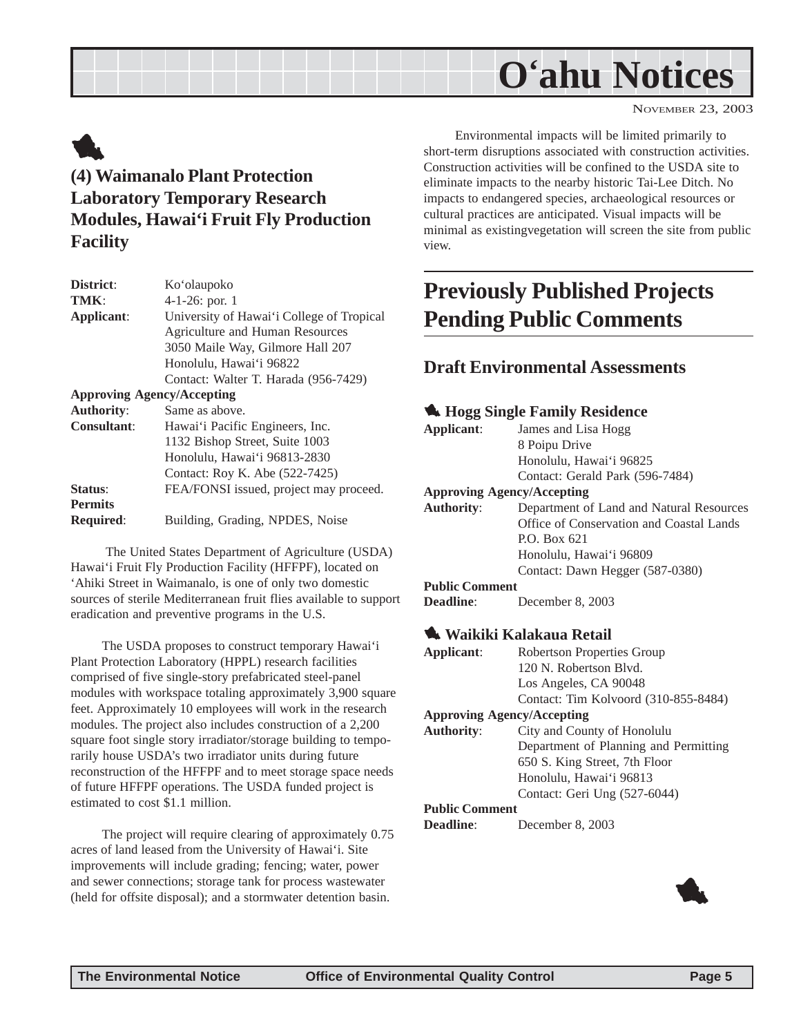## **O'ahu Notices**

NOVEMBER 23, 2003

## <span id="page-4-0"></span>1

## **(4) Waimanalo Plant Protection Laboratory Temporary Research Modules, Hawai'i Fruit Fly Production Facility**

| District:                         | Ko'olaupoko                               |
|-----------------------------------|-------------------------------------------|
| TMK:                              | 4-1-26: por. 1                            |
| Applicant:                        | University of Hawai'i College of Tropical |
|                                   | <b>Agriculture and Human Resources</b>    |
|                                   | 3050 Maile Way, Gilmore Hall 207          |
|                                   | Honolulu, Hawai'i 96822                   |
|                                   | Contact: Walter T. Harada (956-7429)      |
| <b>Approving Agency/Accepting</b> |                                           |
| <b>Authority:</b>                 | Same as above.                            |
| <b>Consultant:</b>                | Hawai'i Pacific Engineers, Inc.           |
|                                   | 1132 Bishop Street, Suite 1003            |
|                                   | Honolulu, Hawai'i 96813-2830              |
|                                   | Contact: Roy K. Abe (522-7425)            |
| Status:                           | FEA/FONSI issued, project may proceed.    |
| <b>Permits</b>                    |                                           |
| <b>Required:</b>                  | Building, Grading, NPDES, Noise           |
|                                   |                                           |

 The United States Department of Agriculture (USDA) Hawai'i Fruit Fly Production Facility (HFFPF), located on 'Ahiki Street in Waimanalo, is one of only two domestic sources of sterile Mediterranean fruit flies available to support eradication and preventive programs in the U.S.

The USDA proposes to construct temporary Hawai'i Plant Protection Laboratory (HPPL) research facilities comprised of five single-story prefabricated steel-panel modules with workspace totaling approximately 3,900 square feet. Approximately 10 employees will work in the research modules. The project also includes construction of a 2,200 square foot single story irradiator/storage building to temporarily house USDA's two irradiator units during future reconstruction of the HFFPF and to meet storage space needs of future HFFPF operations. The USDA funded project is estimated to cost \$1.1 million.

The project will require clearing of approximately 0.75 acres of land leased from the University of Hawai'i. Site improvements will include grading; fencing; water, power and sewer connections; storage tank for process wastewater (held for offsite disposal); and a stormwater detention basin.

Environmental impacts will be limited primarily to short-term disruptions associated with construction activities. Construction activities will be confined to the USDA site to eliminate impacts to the nearby historic Tai-Lee Ditch. No impacts to endangered species, archaeological resources or cultural practices are anticipated. Visual impacts will be minimal as existingvegetation will screen the site from public view.

## **Previously Published Projects Pending Public Comments**

### **Draft Environmental Assessments**

|                       | <b>K</b> Hogg Single Family Residence    |
|-----------------------|------------------------------------------|
| Applicant:            | James and Lisa Hogg                      |
|                       | 8 Poipu Drive                            |
|                       | Honolulu, Hawai'i 96825                  |
|                       | Contact: Gerald Park (596-7484)          |
|                       | <b>Approving Agency/Accepting</b>        |
| <b>Authority:</b>     | Department of Land and Natural Resources |
|                       | Office of Conservation and Coastal Lands |
|                       | P.O. Box 621                             |
|                       | Honolulu, Hawai'i 96809                  |
|                       | Contact: Dawn Hegger (587-0380)          |
| <b>Public Comment</b> |                                          |
| Deadline:             | December 8, 2003                         |
|                       |                                          |

#### 1 **Waikiki Kalakaua Retail**

| Applicant:                        | <b>Robertson Properties Group</b>     |  |
|-----------------------------------|---------------------------------------|--|
|                                   | 120 N. Robertson Blyd.                |  |
|                                   | Los Angeles, CA 90048                 |  |
|                                   | Contact: Tim Kolvoord (310-855-8484)  |  |
| <b>Approving Agency/Accepting</b> |                                       |  |
| <b>Authority:</b>                 | City and County of Honolulu           |  |
|                                   | Department of Planning and Permitting |  |
|                                   | 650 S. King Street, 7th Floor         |  |
|                                   | Honolulu, Hawai'i 96813               |  |
|                                   | Contact: Geri Ung (527-6044)          |  |
| <b>Public Comment</b>             |                                       |  |
| Deadline:                         | December 8, 2003                      |  |

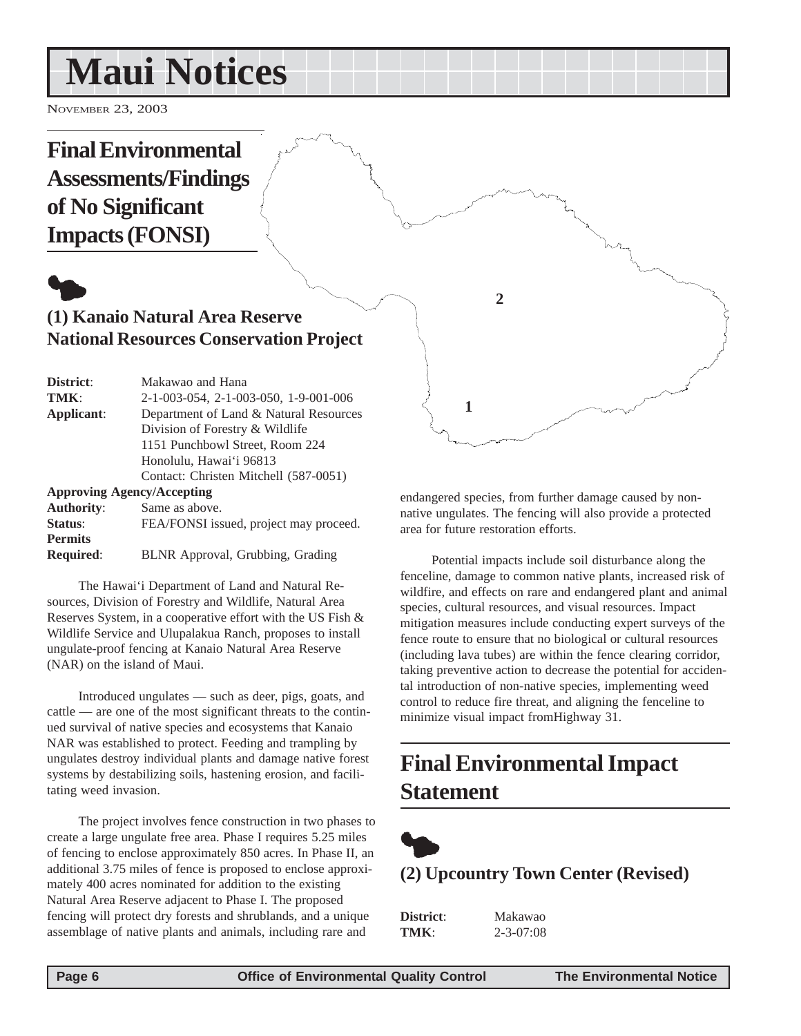## <span id="page-5-0"></span>**Maui Notices**

NOVEMBER 23, 2003

## **Final Environmental Assessments/Findings of No Significant Impacts (FONSI)**

## $\bullet$ **(1) Kanaio Natural Area Reserve National Resources Conservation Project**

| District:                         | Makawao and Hana                       |
|-----------------------------------|----------------------------------------|
| TMK:                              | 2-1-003-054, 2-1-003-050, 1-9-001-006  |
| Applicant:                        | Department of Land & Natural Resources |
|                                   | Division of Forestry & Wildlife        |
|                                   | 1151 Punchbowl Street, Room 224        |
|                                   | Honolulu, Hawai'i 96813                |
|                                   | Contact: Christen Mitchell (587-0051)  |
| <b>Approving Agency/Accepting</b> |                                        |
| <b>Authority:</b>                 | Same as above.                         |
| Status:                           | FEA/FONSI issued, project may proceed. |
| <b>Permits</b>                    |                                        |
| <b>Required:</b>                  | BLNR Approval, Grubbing, Grading       |

The Hawai'i Department of Land and Natural Resources, Division of Forestry and Wildlife, Natural Area Reserves System, in a cooperative effort with the US Fish & Wildlife Service and Ulupalakua Ranch, proposes to install ungulate-proof fencing at Kanaio Natural Area Reserve (NAR) on the island of Maui.

Introduced ungulates — such as deer, pigs, goats, and cattle — are one of the most significant threats to the continued survival of native species and ecosystems that Kanaio NAR was established to protect. Feeding and trampling by ungulates destroy individual plants and damage native forest systems by destabilizing soils, hastening erosion, and facilitating weed invasion.

The project involves fence construction in two phases to create a large ungulate free area. Phase I requires 5.25 miles of fencing to enclose approximately 850 acres. In Phase II, an additional 3.75 miles of fence is proposed to enclose approximately 400 acres nominated for addition to the existing Natural Area Reserve adjacent to Phase I. The proposed fencing will protect dry forests and shrublands, and a unique assemblage of native plants and animals, including rare and

endangered species, from further damage caused by nonnative ungulates. The fencing will also provide a protected area for future restoration efforts.

**2**

**1**

Potential impacts include soil disturbance along the fenceline, damage to common native plants, increased risk of wildfire, and effects on rare and endangered plant and animal species, cultural resources, and visual resources. Impact mitigation measures include conducting expert surveys of the fence route to ensure that no biological or cultural resources (including lava tubes) are within the fence clearing corridor, taking preventive action to decrease the potential for accidental introduction of non-native species, implementing weed control to reduce fire threat, and aligning the fenceline to minimize visual impact fromHighway 31.

## **Final Environmental Impact Statement**



### **(2) Upcountry Town Center (Revised)**

| District: | Makawao         |
|-----------|-----------------|
| TMK:      | $2 - 3 - 07:08$ |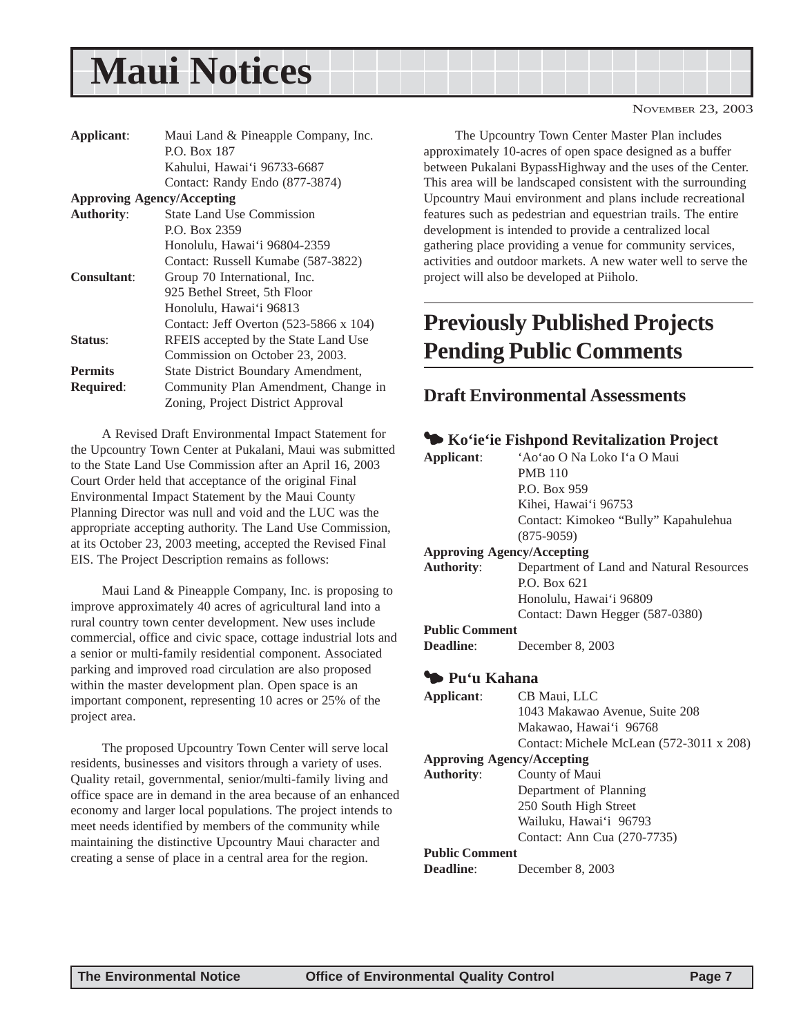## <span id="page-6-0"></span>**Maui Notices**

| Applicant:         | Maui Land & Pineapple Company, Inc.    |
|--------------------|----------------------------------------|
|                    | P.O. Box 187                           |
|                    | Kahului, Hawai'i 96733-6687            |
|                    | Contact: Randy Endo (877-3874)         |
|                    | <b>Approving Agency/Accepting</b>      |
| <b>Authority:</b>  | <b>State Land Use Commission</b>       |
|                    | P.O. Box 2359                          |
|                    | Honolulu, Hawai'i 96804-2359           |
|                    | Contact: Russell Kumabe (587-3822)     |
| <b>Consultant:</b> | Group 70 International, Inc.           |
|                    | 925 Bethel Street, 5th Floor           |
|                    | Honolulu, Hawai'i 96813                |
|                    | Contact: Jeff Overton (523-5866 x 104) |
| <b>Status:</b>     | RFEIS accepted by the State Land Use   |
|                    | Commission on October 23, 2003.        |
| <b>Permits</b>     | State District Boundary Amendment,     |
| <b>Required:</b>   | Community Plan Amendment, Change in    |
|                    | Zoning, Project District Approval      |

A Revised Draft Environmental Impact Statement for the Upcountry Town Center at Pukalani, Maui was submitted to the State Land Use Commission after an April 16, 2003 Court Order held that acceptance of the original Final Environmental Impact Statement by the Maui County Planning Director was null and void and the LUC was the appropriate accepting authority. The Land Use Commission, at its October 23, 2003 meeting, accepted the Revised Final EIS. The Project Description remains as follows:

Maui Land & Pineapple Company, Inc. is proposing to improve approximately 40 acres of agricultural land into a rural country town center development. New uses include commercial, office and civic space, cottage industrial lots and a senior or multi-family residential component. Associated parking and improved road circulation are also proposed within the master development plan. Open space is an important component, representing 10 acres or 25% of the project area.

The proposed Upcountry Town Center will serve local residents, businesses and visitors through a variety of uses. Quality retail, governmental, senior/multi-family living and office space are in demand in the area because of an enhanced economy and larger local populations. The project intends to meet needs identified by members of the community while maintaining the distinctive Upcountry Maui character and creating a sense of place in a central area for the region.

The Upcountry Town Center Master Plan includes approximately 10-acres of open space designed as a buffer between Pukalani BypassHighway and the uses of the Center. This area will be landscaped consistent with the surrounding Upcountry Maui environment and plans include recreational features such as pedestrian and equestrian trails. The entire development is intended to provide a centralized local gathering place providing a venue for community services, activities and outdoor markets. A new water well to serve the

## **Previously Published Projects Pending Public Comments**

#### **Draft Environmental Assessments**

project will also be developed at Piiholo.

|                       | Ko'ie'ie Fishpond Revitalization Project |
|-----------------------|------------------------------------------|
| Applicant:            | 'Ao'ao O Na Loko I'a O Maui              |
|                       | <b>PMB 110</b>                           |
|                       | P.O. Box 959                             |
|                       | Kihei, Hawai'i 96753                     |
|                       | Contact: Kimokeo "Bully" Kapahulehua     |
|                       | $(875-9059)$                             |
|                       | <b>Approving Agency/Accepting</b>        |
| <b>Authority:</b>     | Department of Land and Natural Resources |
|                       | P.O. Box 621                             |
|                       | Honolulu, Hawai'i 96809                  |
|                       | Contact: Dawn Hegger (587-0380)          |
| <b>Public Comment</b> |                                          |
| Deadline:             | December 8, 2003                         |
| Pu'u Kahana           |                                          |
| Applicant:            | CB Maui, LLC                             |
|                       | 1043 Makawao Avenue, Suite 208           |
|                       | Makawao, Hawai'i 96768                   |
|                       | Contact: Michele McLean (572-3011 x 208) |
|                       | <b>Approving Agency/Accepting</b>        |
| <b>Authority:</b>     | County of Maui                           |
|                       | Department of Planning                   |
|                       | 250 South High Street                    |
|                       | Wailuku, Hawai'i 96793                   |
|                       | Contact: Ann Cua (270-7735)              |
| <b>Public Comment</b> |                                          |
| Deadline:             | December 8, 2003                         |
|                       |                                          |

NOVEMBER 23, 2003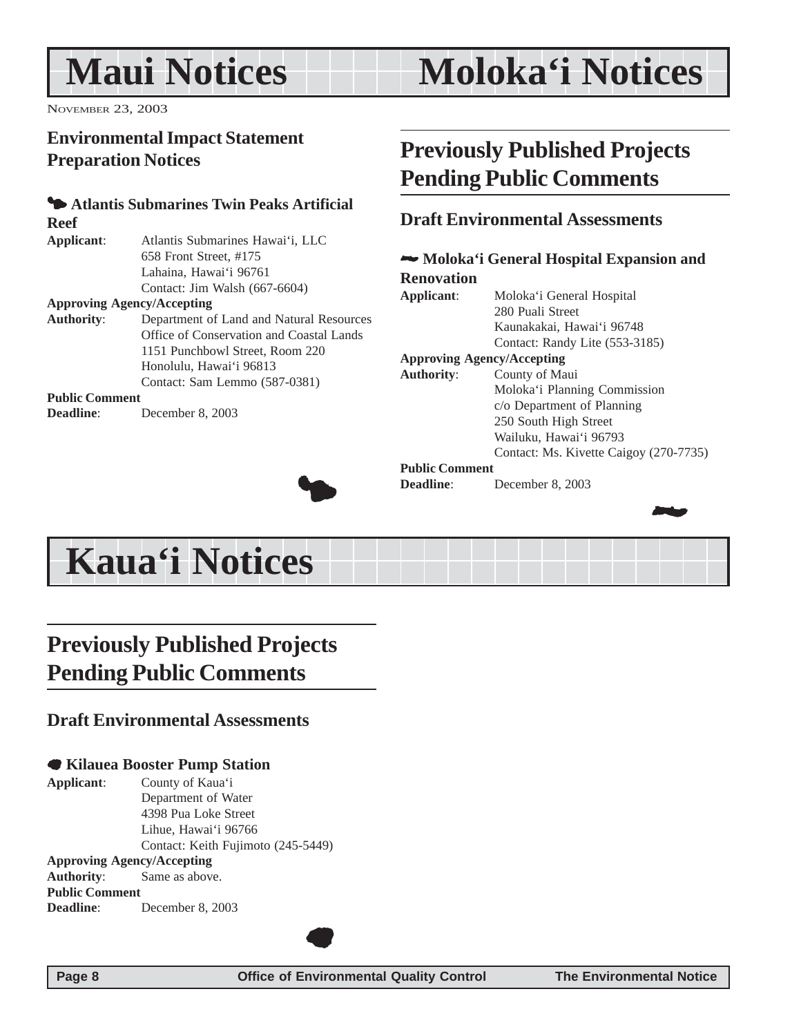## <span id="page-7-0"></span>**Maui Notices**

## **Moloka'i Notices**

NOVEMBER 23, 2003

## **Environmental Impact Statement Preparation Notices**

## 3 **Atlantis Submarines Twin Peaks Artificial Reef**

**Applicant**: Atlantis Submarines Hawai'i, LLC 658 Front Street, #175 Lahaina, Hawai'i 96761 Contact: Jim Walsh (667-6604)

#### **Approving Agency/Accepting**

| <b>Authority:</b>     | Department of Land and Natural Resources |
|-----------------------|------------------------------------------|
|                       | Office of Conservation and Coastal Lands |
|                       | 1151 Punchbowl Street, Room 220          |
|                       | Honolulu, Hawai'i 96813                  |
|                       | Contact: Sam Lemmo (587-0381)            |
| <b>Public Comment</b> |                                          |

**Deadline**: December 8, 2003



## **Previously Published Projects Pending Public Comments**

#### **Draft Environmental Assessments**

#### 2 **Moloka'i General Hospital Expansion and Renovation Applicant**: Moloka'i General Hospital

280 Puali Street Kaunakakai, Hawai'i 96748 Contact: Randy Lite (553-3185) **Approving Agency/Accepting Authority**: County of Maui Moloka'i Planning Commission c/o Department of Planning

#### 250 South High Street Wailuku, Hawai'i 96793

Contact: Ms. Kivette Caigoy (270-7735)

#### **Public Comment**

**Deadline**: December 8, 2003



## **Kaua'i Notices**

## **Previously Published Projects Pending Public Comments**

### **Draft Environmental Assessments**

#### 7 **Kilauea Booster Pump Station**

**Applicant**: County of Kaua'i Department of Water 4398 Pua Loke Street Lihue, Hawai'i 96766 Contact: Keith Fujimoto (245-5449) **Approving Agency/Accepting Authority**: Same as above.

**Public Comment Deadline**: December 8, 2003



 $\bullet$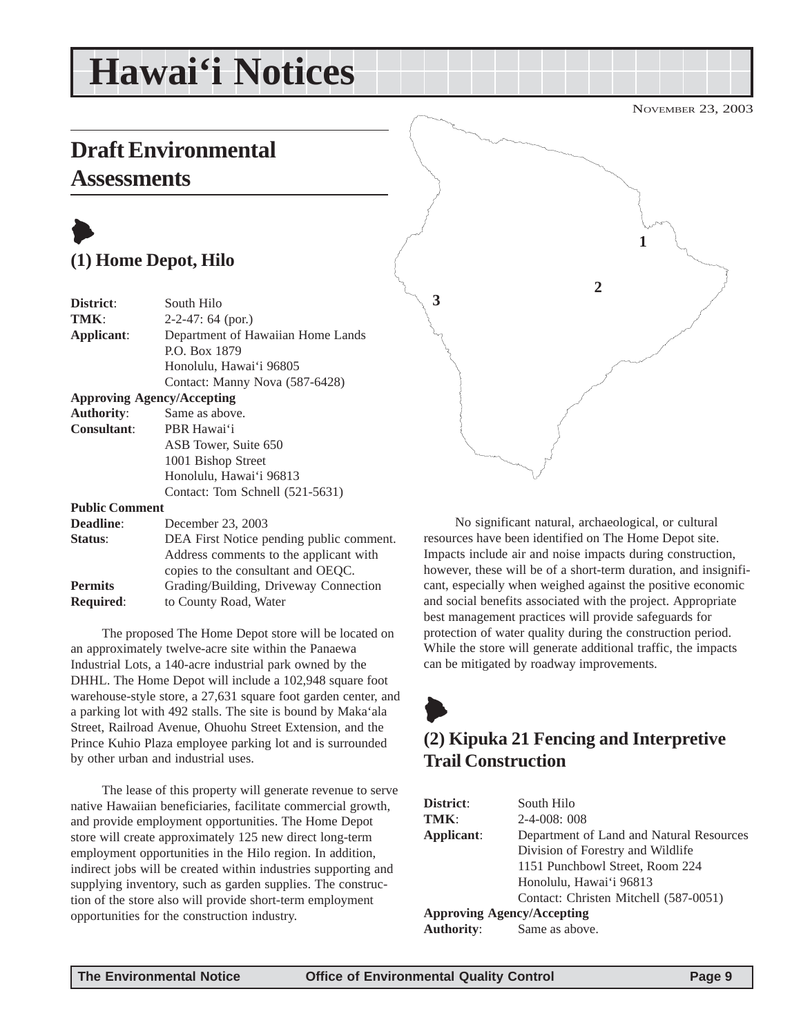## <span id="page-8-0"></span>**Hawai'i Notices**

**Draft Environmental**

## **Assessments**

## $\blacklozenge$ **(1) Home Depot, Hilo**

| District:             | South Hilo                               |
|-----------------------|------------------------------------------|
| TMK:                  | $2-2-47$ : 64 (por.)                     |
| Applicant:            | Department of Hawaiian Home Lands        |
|                       | P.O. Box 1879                            |
|                       | Honolulu, Hawai'i 96805                  |
|                       | Contact: Manny Nova (587-6428)           |
|                       | <b>Approving Agency/Accepting</b>        |
| <b>Authority:</b>     | Same as above.                           |
| Consultant:           | PBR Hawai'i                              |
|                       | ASB Tower, Suite 650                     |
|                       | 1001 Bishop Street                       |
|                       | Honolulu, Hawai'i 96813                  |
|                       | Contact: Tom Schnell (521-5631)          |
| <b>Public Comment</b> |                                          |
| <b>Deadline:</b>      | December 23, 2003                        |
| Status:               | DEA First Notice pending public comment. |
|                       | Address comments to the applicant with   |

copies to the consultant and OEQC. **Permits** Grading/Building, Driveway Connection **Required**: to County Road, Water

The proposed The Home Depot store will be located on an approximately twelve-acre site within the Panaewa Industrial Lots, a 140-acre industrial park owned by the DHHL. The Home Depot will include a 102,948 square foot warehouse-style store, a 27,631 square foot garden center, and a parking lot with 492 stalls. The site is bound by Maka'ala Street, Railroad Avenue, Ohuohu Street Extension, and the Prince Kuhio Plaza employee parking lot and is surrounded by other urban and industrial uses.

The lease of this property will generate revenue to serve native Hawaiian beneficiaries, facilitate commercial growth, and provide employment opportunities. The Home Depot store will create approximately 125 new direct long-term employment opportunities in the Hilo region. In addition, indirect jobs will be created within industries supporting and supplying inventory, such as garden supplies. The construction of the store also will provide short-term employment opportunities for the construction industry.



No significant natural, archaeological, or cultural resources have been identified on The Home Depot site. Impacts include air and noise impacts during construction, however, these will be of a short-term duration, and insignificant, especially when weighed against the positive economic and social benefits associated with the project. Appropriate best management practices will provide safeguards for protection of water quality during the construction period. While the store will generate additional traffic, the impacts can be mitigated by roadway improvements.

## $\blacklozenge$ **(2) Kipuka 21 Fencing and Interpretive Trail Construction**

| District:                         | South Hilo                               |
|-----------------------------------|------------------------------------------|
| TMK:                              | $2-4-008:008$                            |
| Applicant:                        | Department of Land and Natural Resources |
|                                   | Division of Forestry and Wildlife        |
|                                   | 1151 Punchbowl Street, Room 224          |
|                                   | Honolulu, Hawai'i 96813                  |
|                                   | Contact: Christen Mitchell (587-0051)    |
| <b>Approving Agency/Accepting</b> |                                          |
| <b>Authority:</b>                 | Same as above.                           |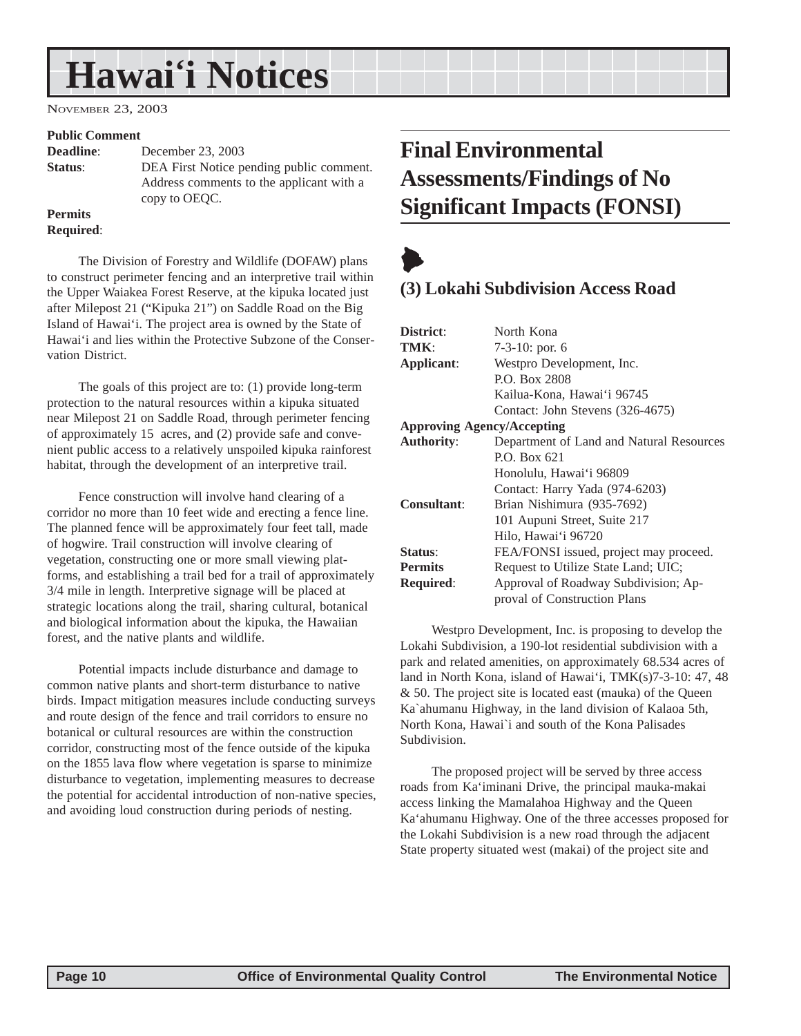## <span id="page-9-0"></span>**Hawai'i Notices**

NOVEMBER 23, 2003

#### **Public Comment**

**Deadline**: December 23, 2003 **Status:** DEA First Notice pending public comment. Address comments to the applicant with a copy to OEQC.

#### **Permits Required**:

The Division of Forestry and Wildlife (DOFAW) plans to construct perimeter fencing and an interpretive trail within the Upper Waiakea Forest Reserve, at the kipuka located just after Milepost 21 ("Kipuka 21") on Saddle Road on the Big Island of Hawai'i. The project area is owned by the State of Hawai'i and lies within the Protective Subzone of the Conservation District.

The goals of this project are to: (1) provide long-term protection to the natural resources within a kipuka situated near Milepost 21 on Saddle Road, through perimeter fencing of approximately 15 acres, and (2) provide safe and convenient public access to a relatively unspoiled kipuka rainforest habitat, through the development of an interpretive trail.

Fence construction will involve hand clearing of a corridor no more than 10 feet wide and erecting a fence line. The planned fence will be approximately four feet tall, made of hogwire. Trail construction will involve clearing of vegetation, constructing one or more small viewing platforms, and establishing a trail bed for a trail of approximately 3/4 mile in length. Interpretive signage will be placed at strategic locations along the trail, sharing cultural, botanical and biological information about the kipuka, the Hawaiian forest, and the native plants and wildlife.

Potential impacts include disturbance and damage to common native plants and short-term disturbance to native birds. Impact mitigation measures include conducting surveys and route design of the fence and trail corridors to ensure no botanical or cultural resources are within the construction corridor, constructing most of the fence outside of the kipuka on the 1855 lava flow where vegetation is sparse to minimize disturbance to vegetation, implementing measures to decrease the potential for accidental introduction of non-native species, and avoiding loud construction during periods of nesting.

## **Final Environmental Assessments/Findings of No Significant Impacts (FONSI)**



## **(3) Lokahi Subdivision Access Road**

| District:                         | North Kona                               |
|-----------------------------------|------------------------------------------|
| TMK:                              | $7-3-10$ : por. 6                        |
| Applicant:                        | Westpro Development, Inc.                |
|                                   | P.O. Box 2808                            |
|                                   | Kailua-Kona, Hawai'i 96745               |
|                                   | Contact: John Stevens (326-4675)         |
| <b>Approving Agency/Accepting</b> |                                          |
| <b>Authority:</b>                 | Department of Land and Natural Resources |
|                                   | P.O. Box 621                             |
|                                   | Honolulu, Hawai'i 96809                  |
|                                   | Contact: Harry Yada (974-6203)           |
| <b>Consultant:</b>                | Brian Nishimura (935-7692)               |
|                                   | 101 Aupuni Street, Suite 217             |
|                                   | Hilo, Hawai'i 96720                      |
| Status:                           | FEA/FONSI issued, project may proceed.   |
| <b>Permits</b>                    | Request to Utilize State Land; UIC;      |
| <b>Required:</b>                  | Approval of Roadway Subdivision; Ap-     |
|                                   | proval of Construction Plans             |

Westpro Development, Inc. is proposing to develop the Lokahi Subdivision, a 190-lot residential subdivision with a park and related amenities, on approximately 68.534 acres of land in North Kona, island of Hawai'i, TMK(s)7-3-10: 47, 48 & 50. The project site is located east (mauka) of the Queen Ka`ahumanu Highway, in the land division of Kalaoa 5th, North Kona, Hawai`i and south of the Kona Palisades Subdivision.

The proposed project will be served by three access roads from Ka'iminani Drive, the principal mauka-makai access linking the Mamalahoa Highway and the Queen Ka'ahumanu Highway. One of the three accesses proposed for the Lokahi Subdivision is a new road through the adjacent State property situated west (makai) of the project site and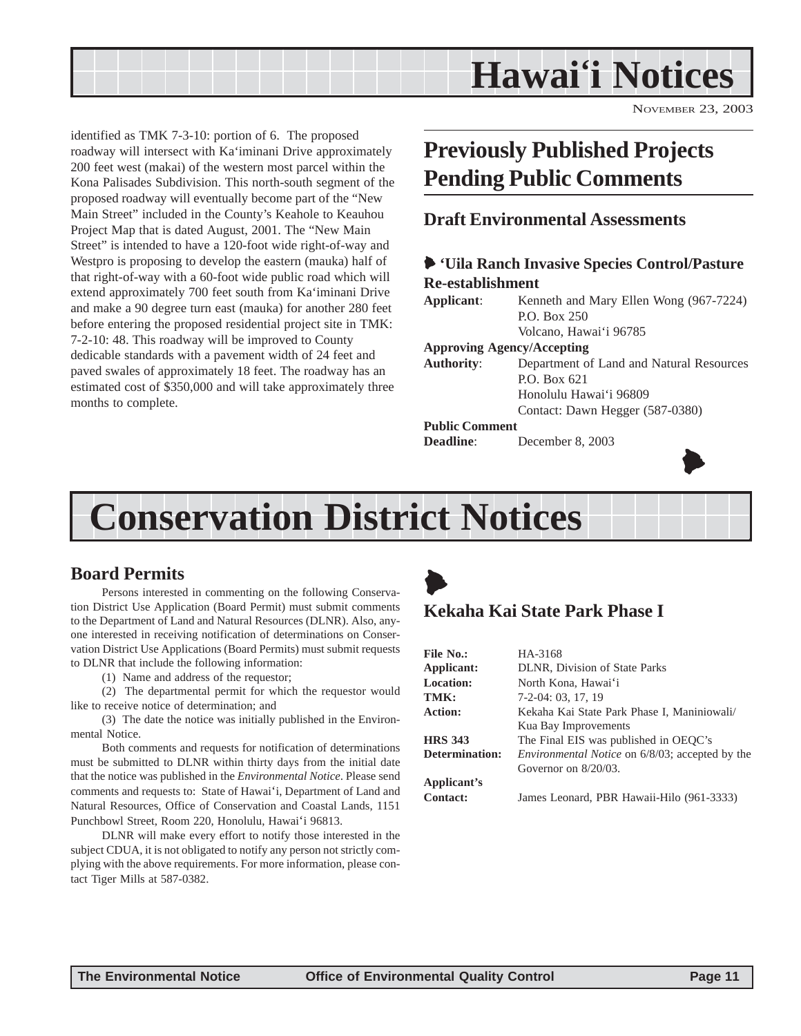<span id="page-10-0"></span>

NOVEMBER 23, 2003

identified as TMK 7-3-10: portion of 6. The proposed roadway will intersect with Ka'iminani Drive approximately 200 feet west (makai) of the western most parcel within the Kona Palisades Subdivision. This north-south segment of the proposed roadway will eventually become part of the "New Main Street" included in the County's Keahole to Keauhou Project Map that is dated August, 2001. The "New Main Street" is intended to have a 120-foot wide right-of-way and Westpro is proposing to develop the eastern (mauka) half of that right-of-way with a 60-foot wide public road which will extend approximately 700 feet south from Ka'iminani Drive and make a 90 degree turn east (mauka) for another 280 feet before entering the proposed residential project site in TMK: 7-2-10: 48. This roadway will be improved to County dedicable standards with a pavement width of 24 feet and paved swales of approximately 18 feet. The roadway has an estimated cost of \$350,000 and will take approximately three months to complete.

## **Previously Published Projects Pending Public Comments**

#### **Draft Environmental Assessments**

#### 6 **'Uila Ranch Invasive Species Control/Pasture Re-establishment**

**Applicant**: Kenneth and Mary Ellen Wong (967-7224) P.O. Box 250 Volcano, Hawai'i 96785

#### **Approving Agency/Accepting**

**Authority**: Department of Land and Natural Resources P.O. Box 621 Honolulu Hawai'i 96809 Contact: Dawn Hegger (587-0380)

#### **Public Comment**

**Deadline**: December 8, 2003



## **Conservation District Notices**

### **Board Permits**

Persons interested in commenting on the following Conservation District Use Application (Board Permit) must submit comments to the Department of Land and Natural Resources (DLNR). Also, anyone interested in receiving notification of determinations on Conservation District Use Applications (Board Permits) must submit requests to DLNR that include the following information:

(1) Name and address of the requestor;

(2) The departmental permit for which the requestor would like to receive notice of determination; and

(3) The date the notice was initially published in the Environmental Notice.

Both comments and requests for notification of determinations must be submitted to DLNR within thirty days from the initial date that the notice was published in the *Environmental Notice*. Please send comments and requests to: State of Hawai'i, Department of Land and Natural Resources, Office of Conservation and Coastal Lands, 1151 Punchbowl Street, Room 220, Honolulu, Hawai'i 96813.

DLNR will make every effort to notify those interested in the subject CDUA, it is not obligated to notify any person not strictly complying with the above requirements. For more information, please contact Tiger Mills at 587-0382.

## $\blacktriangleright$ **Kekaha Kai State Park Phase I**

| File No.:             | HA-3168                                                |
|-----------------------|--------------------------------------------------------|
| Applicant:            | DLNR, Division of State Parks                          |
| <b>Location:</b>      | North Kona, Hawai'i                                    |
| TMK:                  | 7-2-04: 03, 17, 19                                     |
| Action:               | Kekaha Kai State Park Phase I, Maniniowali/            |
|                       | Kua Bay Improvements                                   |
| <b>HRS 343</b>        | The Final EIS was published in OEQC's                  |
| <b>Determination:</b> | <i>Environmental Notice</i> on 6/8/03; accepted by the |
|                       | Governor on $8/20/03$ .                                |
| Applicant's           |                                                        |
| <b>Contact:</b>       | James Leonard, PBR Hawaii-Hilo (961-3333)              |
|                       |                                                        |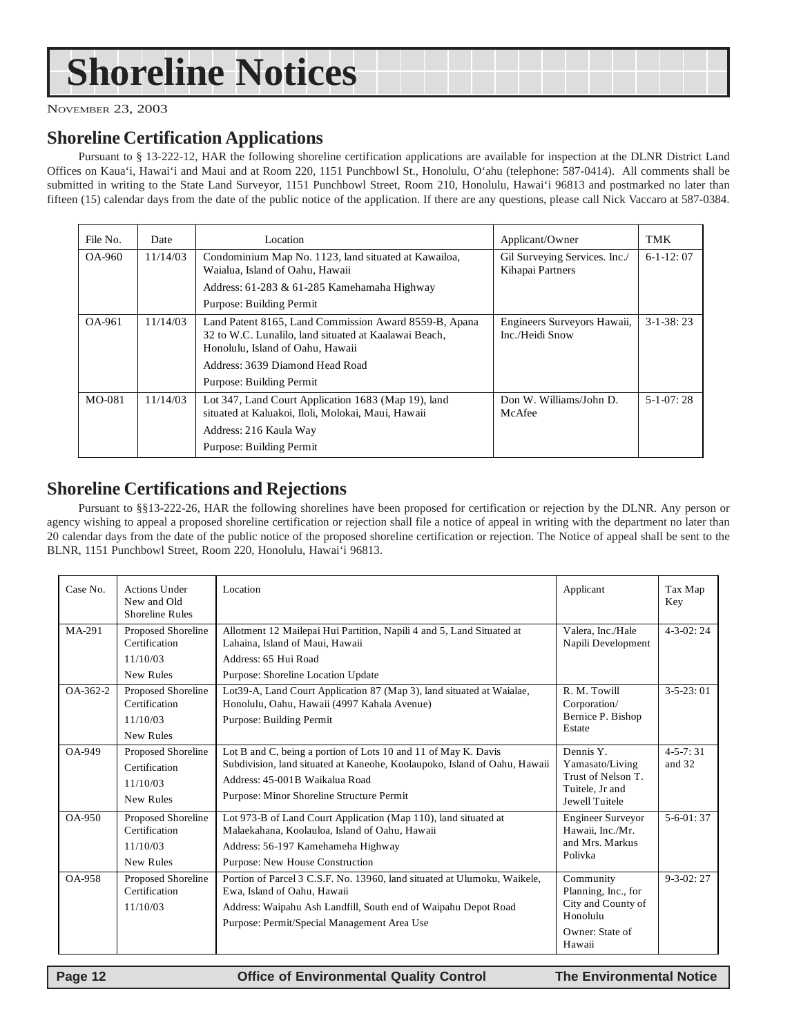## <span id="page-11-0"></span>**Shoreline Notices**

NOVEMBER 23, 2003

#### **Shoreline Certification Applications**

Pursuant to § 13-222-12, HAR the following shoreline certification applications are available for inspection at the DLNR District Land Offices on Kaua'i, Hawai'i and Maui and at Room 220, 1151 Punchbowl St., Honolulu, O'ahu (telephone: 587-0414). All comments shall be submitted in writing to the State Land Surveyor, 1151 Punchbowl Street, Room 210, Honolulu, Hawai'i 96813 and postmarked no later than fifteen (15) calendar days from the date of the public notice of the application. If there are any questions, please call Nick Vaccaro at 587-0384.

| File No. | Date     | Location                                                                                                                                                                                                          | Applicant/Owner                                   | TMK             |
|----------|----------|-------------------------------------------------------------------------------------------------------------------------------------------------------------------------------------------------------------------|---------------------------------------------------|-----------------|
| OA-960   | 11/14/03 | Condominium Map No. 1123, land situated at Kawailoa,<br>Waialua, Island of Oahu, Hawaii                                                                                                                           | Gil Surveying Services. Inc./<br>Kihapai Partners | $6-1-12:07$     |
|          |          | Address: 61-283 & 61-285 Kamehamaha Highway                                                                                                                                                                       |                                                   |                 |
|          |          | Purpose: Building Permit                                                                                                                                                                                          |                                                   |                 |
| OA-961   | 11/14/03 | Land Patent 8165, Land Commission Award 8559-B, Apana<br>32 to W.C. Lunalilo, land situated at Kaalawai Beach,<br>Honolulu, Island of Oahu, Hawaii<br>Address: 3639 Diamond Head Road<br>Purpose: Building Permit | Engineers Surveyors Hawaii,<br>Inc./Heidi Snow    | $3 - 1 - 38:23$ |
| MO-081   | 11/14/03 | Lot 347, Land Court Application 1683 (Map 19), land<br>situated at Kaluakoi, Iloli, Molokai, Maui, Hawaii<br>Address: 216 Kaula Way<br>Purpose: Building Permit                                                   | Don W. Williams/John D.<br>McAfee                 | $5-1-07:28$     |

#### **Shoreline Certifications and Rejections**

Pursuant to §§13-222-26, HAR the following shorelines have been proposed for certification or rejection by the DLNR. Any person or agency wishing to appeal a proposed shoreline certification or rejection shall file a notice of appeal in writing with the department no later than 20 calendar days from the date of the public notice of the proposed shoreline certification or rejection. The Notice of appeal shall be sent to the BLNR, 1151 Punchbowl Street, Room 220, Honolulu, Hawai'i 96813.

| Case No.       | <b>Actions Under</b><br>New and Old<br><b>Shoreline Rules</b> | Location                                                                                                                                                                                                                   | Applicant                                                                                       | Tax Map<br>Key           |
|----------------|---------------------------------------------------------------|----------------------------------------------------------------------------------------------------------------------------------------------------------------------------------------------------------------------------|-------------------------------------------------------------------------------------------------|--------------------------|
| $MA-291$       | Proposed Shoreline<br>Certification<br>11/10/03               | Allotment 12 Mailepai Hui Partition, Napili 4 and 5, Land Situated at<br>Lahaina, Island of Maui, Hawaii<br>Address: 65 Hui Road                                                                                           | Valera, Inc./Hale<br>Napili Development                                                         | $4 - 3 - 02$ : 24        |
|                | New Rules                                                     | Purpose: Shoreline Location Update                                                                                                                                                                                         |                                                                                                 |                          |
| $OA - 362 - 2$ | Proposed Shoreline<br>Certification<br>11/10/03<br>New Rules  | Lot39-A, Land Court Application 87 (Map 3), land situated at Waialae,<br>Honolulu, Oahu, Hawaii (4997 Kahala Avenue)<br>Purpose: Building Permit                                                                           | R. M. Towill<br>Corporation/<br>Bernice P. Bishop<br>Estate                                     | $3 - 5 - 23:01$          |
| $OA-949$       | Proposed Shoreline<br>Certification<br>11/10/03<br>New Rules  | Lot B and C, being a portion of Lots 10 and 11 of May K. Davis<br>Subdivision, land situated at Kaneohe, Koolaupoko, Island of Oahu, Hawaii<br>Address: 45-001B Waikalua Road<br>Purpose: Minor Shoreline Structure Permit | Dennis Y.<br>Yamasato/Living<br>Trust of Nelson T.<br>Tuitele, Jr and<br><b>Jewell Tuitele</b>  | $4 - 5 - 7:31$<br>and 32 |
| $OA-950$       | Proposed Shoreline<br>Certification<br>11/10/03<br>New Rules  | Lot 973-B of Land Court Application (Map 110), land situated at<br>Malaekahana, Koolauloa, Island of Oahu, Hawaii<br>Address: 56-197 Kamehameha Highway<br>Purpose: New House Construction                                 | <b>Engineer Surveyor</b><br>Hawaii, Inc./Mr.<br>and Mrs. Markus<br>Polivka                      | $5-6-01:37$              |
| <b>OA-958</b>  | Proposed Shoreline<br>Certification<br>11/10/03               | Portion of Parcel 3 C.S.F. No. 13960, land situated at Ulumoku, Waikele,<br>Ewa, Island of Oahu, Hawaii<br>Address: Waipahu Ash Landfill, South end of Waipahu Depot Road<br>Purpose: Permit/Special Management Area Use   | Community<br>Planning, Inc., for<br>City and County of<br>Honolulu<br>Owner: State of<br>Hawaii | $9 - 3 - 02:27$          |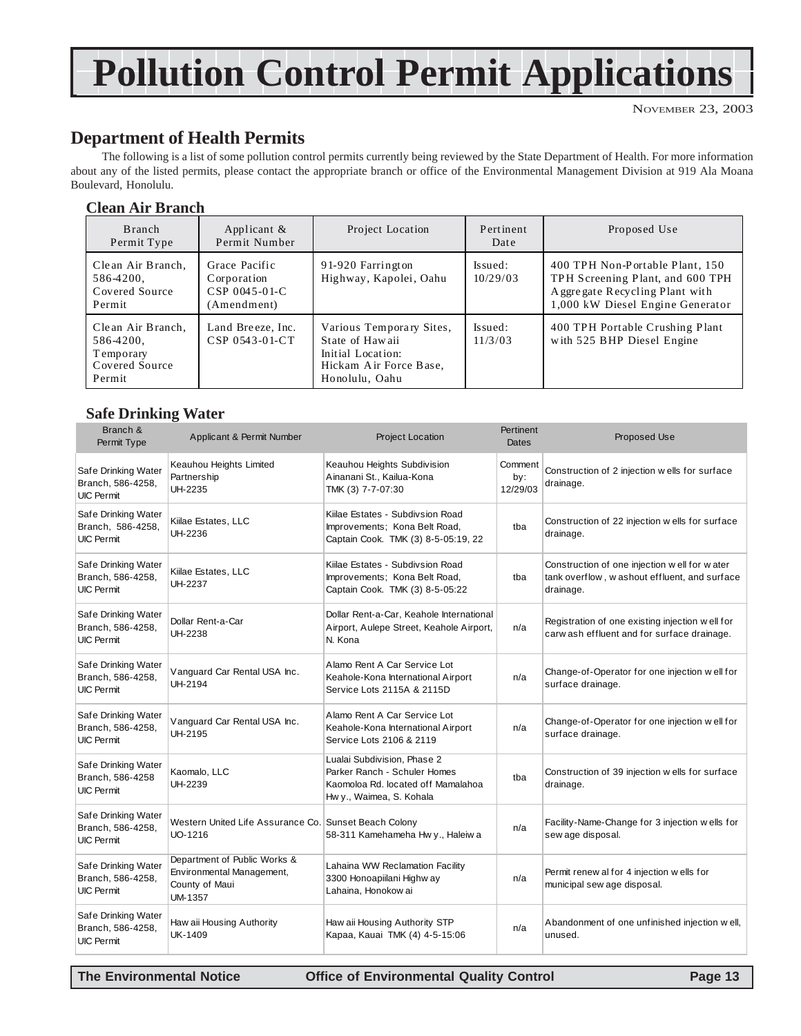## **Pollution Control Permit Applications**

## **Department of Health Permits**

The following is a list of some pollution control permits currently being reviewed by the State Department of Health. For more information about any of the listed permits, please contact the appropriate branch or office of the Environmental Management Division at 919 Ala Moana Boulevard, Honolulu.

#### **Clean Air Branch**

| Branch<br>Permit Type                                                   | Applicant $\&$<br>Permit Number                              | Project Location                                                                                             | Pertinent<br>Date    | Proposed Use                                                                                                                                |
|-------------------------------------------------------------------------|--------------------------------------------------------------|--------------------------------------------------------------------------------------------------------------|----------------------|---------------------------------------------------------------------------------------------------------------------------------------------|
| Clean Air Branch,<br>586-4200,<br>Covered Source<br>Permit              | Grace Pacific<br>Corporation<br>CSP 0045-01-C<br>(Amendment) | 91-920 Farrington<br>Highway, Kapolei, Oahu                                                                  | Is sued:<br>10/29/03 | 400 TPH Non-Portable Plant, 150<br>TPH Screening Plant, and 600 TPH<br>A ggre gate Recycling Plant with<br>1,000 kW Diesel Engine Generator |
| Clean Air Branch,<br>586-4200,<br>Temporary<br>Covered Source<br>Permit | Land Breeze, Inc.<br>CSP 0543-01-CT                          | Various Temporary Sites,<br>State of Hawaii<br>Initial Location:<br>Hickam Air Force Base,<br>Honolulu, Oahu | Is sued:<br>11/3/03  | 400 TPH Portable Crushing Plant<br>with 525 BHP Diesel Engine                                                                               |

#### **Safe Drinking Water**

| Branch &<br>Permit Type                                       | Applicant & Permit Number                                                              | <b>Project Location</b>                                                                                                       | Pertinent<br>Dates         | Proposed Use                                                                                              |
|---------------------------------------------------------------|----------------------------------------------------------------------------------------|-------------------------------------------------------------------------------------------------------------------------------|----------------------------|-----------------------------------------------------------------------------------------------------------|
| Safe Drinking Water<br>Branch, 586-4258,<br><b>UIC Permit</b> | Keauhou Heights Limited<br>Partnership<br>UH-2235                                      | Keauhou Heights Subdivision<br>Ainanani St., Kailua-Kona<br>TMK (3) 7-7-07:30                                                 | Comment<br>by:<br>12/29/03 | Construction of 2 injection wells for surface<br>drainage.                                                |
| Safe Drinking Water<br>Branch, 586-4258,<br><b>UIC Permit</b> | Kiilae Estates, LLC<br>UH-2236                                                         | Kiilae Estates - Subdivsion Road<br>Improvements; Kona Belt Road,<br>Captain Cook. TMK (3) 8-5-05:19, 22                      | tba                        | Construction of 22 injection w ells for surface<br>drainage.                                              |
| Safe Drinking Water<br>Branch, 586-4258,<br><b>UIC Permit</b> | Kiilae Estates, LLC<br>UH-2237                                                         | Kiilae Estates - Subdivsion Road<br>Improvements; Kona Belt Road,<br>Captain Cook. TMK (3) 8-5-05:22                          | tba                        | Construction of one injection well for water<br>tank overflow, washout effluent, and surface<br>drainage. |
| Safe Drinking Water<br>Branch, 586-4258,<br><b>UIC Permit</b> | Dollar Rent-a-Car<br>UH-2238                                                           | Dollar Rent-a-Car, Keahole International<br>Airport, Aulepe Street, Keahole Airport,<br>N. Kona                               | n/a                        | Registration of one existing injection well for<br>carw ash effluent and for surface drainage.            |
| Safe Drinking Water<br>Branch, 586-4258,<br><b>UIC Permit</b> | Vanguard Car Rental USA Inc.<br>UH-2194                                                | Alamo Rent A Car Service Lot<br>Keahole-Kona International Airport<br>Service Lots 2115A & 2115D                              | n/a                        | Change-of-Operator for one injection well for<br>surface drainage.                                        |
| Safe Drinking Water<br>Branch, 586-4258,<br><b>UIC Permit</b> | Vanguard Car Rental USA Inc.<br>UH-2195                                                | Alamo Rent A Car Service Lot<br>Keahole-Kona International Airport<br>Service Lots 2106 & 2119                                | n/a                        | Change-of-Operator for one injection well for<br>surface drainage.                                        |
| Safe Drinking Water<br>Branch, 586-4258<br><b>UIC Permit</b>  | Kaomalo, LLC<br>UH-2239                                                                | Lualai Subdivision, Phase 2<br>Parker Ranch - Schuler Homes<br>Kaomoloa Rd. located off Mamalahoa<br>Hw y., Waimea, S. Kohala | tba                        | Construction of 39 injection w ells for surface<br>drainage.                                              |
| Safe Drinking Water<br>Branch, 586-4258,<br><b>UIC Permit</b> | Western United Life Assurance Co. Sunset Beach Colony<br>UO-1216                       | 58-311 Kamehameha Hw y., Haleiw a                                                                                             | n/a                        | Facility-Name-Change for 3 injection w ells for<br>sew age disposal.                                      |
| Safe Drinking Water<br>Branch, 586-4258,<br><b>UIC Permit</b> | Department of Public Works &<br>Environmental Management,<br>County of Maui<br>UM-1357 | Lahaina WW Reclamation Facility<br>3300 Honoapiilani Highw ay<br>Lahaina, Honokow ai                                          | n/a                        | Permit renew al for 4 injection wells for<br>municipal sew age disposal.                                  |
| Safe Drinking Water<br>Branch, 586-4258,<br><b>UIC Permit</b> | Haw aii Housing Authority<br>UK-1409                                                   | Haw aii Housing Authority STP<br>Kapaa, Kauai TMK (4) 4-5-15:06                                                               | n/a                        | Abandonment of one unfinished injection well,<br>unused.                                                  |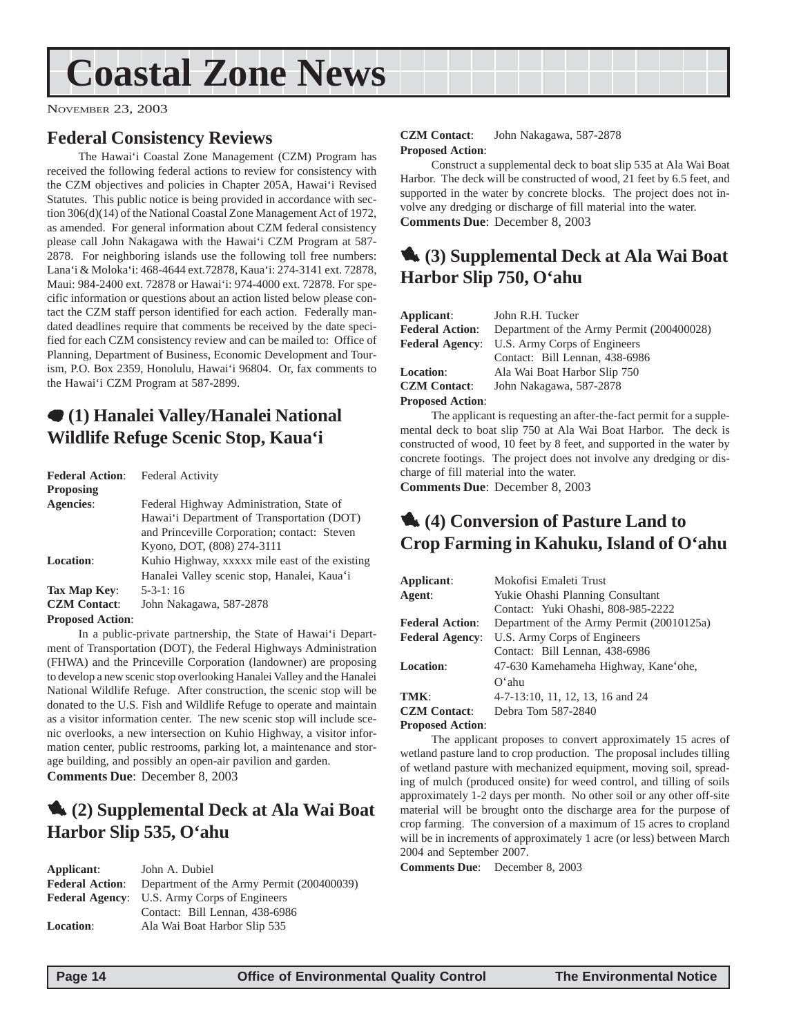## <span id="page-13-0"></span>**Coastal Zone News**

NOVEMBER 23, 2003

### **Federal Consistency Reviews**

The Hawai'i Coastal Zone Management (CZM) Program has received the following federal actions to review for consistency with the CZM objectives and policies in Chapter 205A, Hawai'i Revised Statutes. This public notice is being provided in accordance with section 306(d)(14) of the National Coastal Zone Management Act of 1972, as amended. For general information about CZM federal consistency please call John Nakagawa with the Hawai'i CZM Program at 587- 2878. For neighboring islands use the following toll free numbers: Lana'i & Moloka'i: 468-4644 ext.72878, Kaua'i: 274-3141 ext. 72878, Maui: 984-2400 ext. 72878 or Hawai'i: 974-4000 ext. 72878. For specific information or questions about an action listed below please contact the CZM staff person identified for each action. Federally mandated deadlines require that comments be received by the date specified for each CZM consistency review and can be mailed to: Office of Planning, Department of Business, Economic Development and Tourism, P.O. Box 2359, Honolulu, Hawai'i 96804. Or, fax comments to the Hawai'i CZM Program at 587-2899.

### 7 **(1) Hanalei Valley/Hanalei National Wildlife Refuge Scenic Stop, Kaua'i**

| <b>Federal Action:</b>  | <b>Federal Activity</b>                        |
|-------------------------|------------------------------------------------|
| <b>Proposing</b>        |                                                |
| Agencies:               | Federal Highway Administration, State of       |
|                         | Hawai'i Department of Transportation (DOT)     |
|                         | and Princeville Corporation; contact: Steven   |
|                         | Kyono, DOT, (808) 274-3111                     |
| <b>Location:</b>        | Kuhio Highway, xxxxx mile east of the existing |
|                         | Hanalei Valley scenic stop, Hanalei, Kaua'i    |
| Tax Map Kev:            | $5 - 3 - 1$ : 16                               |
| <b>CZM</b> Contact:     | John Nakagawa, 587-2878                        |
| <b>Proposed Action:</b> |                                                |

In a public-private partnership, the State of Hawai'i Department of Transportation (DOT), the Federal Highways Administration (FHWA) and the Princeville Corporation (landowner) are proposing to develop a new scenic stop overlooking Hanalei Valley and the Hanalei National Wildlife Refuge. After construction, the scenic stop will be donated to the U.S. Fish and Wildlife Refuge to operate and maintain as a visitor information center. The new scenic stop will include scenic overlooks, a new intersection on Kuhio Highway, a visitor information center, public restrooms, parking lot, a maintenance and storage building, and possibly an open-air pavilion and garden. **Comments Due**: December 8, 2003

### 1 **(2) Supplemental Deck at Ala Wai Boat Harbor Slip 535, O'ahu**

| Applicant:       | John A. Dubiel                                                   |
|------------------|------------------------------------------------------------------|
|                  | <b>Federal Action:</b> Department of the Army Permit (200400039) |
|                  | <b>Federal Agency:</b> U.S. Army Corps of Engineers              |
|                  | Contact: Bill Lennan, 438-6986                                   |
| <b>Location:</b> | Ala Wai Boat Harbor Slip 535                                     |

#### **CZM Contact**: John Nakagawa, 587-2878 **Proposed Action**:

Construct a supplemental deck to boat slip 535 at Ala Wai Boat Harbor. The deck will be constructed of wood, 21 feet by 6.5 feet, and supported in the water by concrete blocks. The project does not involve any dredging or discharge of fill material into the water. **Comments Due**: December 8, 2003

### 1 **(3) Supplemental Deck at Ala Wai Boat Harbor Slip 750, O'ahu**

| Applicant:              | John R.H. Tucker                          |
|-------------------------|-------------------------------------------|
| <b>Federal Action:</b>  | Department of the Army Permit (200400028) |
| <b>Federal Agency:</b>  | U.S. Army Corps of Engineers              |
|                         | Contact: Bill Lennan, 438-6986            |
| <b>Location:</b>        | Ala Wai Boat Harbor Slip 750              |
| <b>CZM Contact:</b>     | John Nakagawa, 587-2878                   |
| <b>Proposed Action:</b> |                                           |

The applicant is requesting an after-the-fact permit for a supplemental deck to boat slip 750 at Ala Wai Boat Harbor. The deck is constructed of wood, 10 feet by 8 feet, and supported in the water by concrete footings. The project does not involve any dredging or discharge of fill material into the water.

**Comments Due**: December 8, 2003

## 1 **(4) Conversion of Pasture Land to Crop Farming in Kahuku, Island of O'ahu**

| Applicant:              | Mokofisi Emaleti Trust                    |
|-------------------------|-------------------------------------------|
| Agent:                  | Yukie Ohashi Planning Consultant          |
|                         | Contact: Yuki Ohashi, 808-985-2222        |
| <b>Federal Action:</b>  | Department of the Army Permit (20010125a) |
| <b>Federal Agency:</b>  | U.S. Army Corps of Engineers              |
|                         | Contact: Bill Lennan, 438-6986            |
| <b>Location:</b>        | 47-630 Kamehameha Highway, Kane'ohe,      |
|                         | $O^{\epsilon}$ ahu                        |
| TMK:                    | 4-7-13:10, 11, 12, 13, 16 and 24          |
| <b>CZM</b> Contact:     | Debra Tom 587-2840                        |
| <b>Proposed Action:</b> |                                           |

The applicant proposes to convert approximately 15 acres of wetland pasture land to crop production. The proposal includes tilling of wetland pasture with mechanized equipment, moving soil, spreading of mulch (produced onsite) for weed control, and tilling of soils approximately 1-2 days per month. No other soil or any other off-site material will be brought onto the discharge area for the purpose of crop farming. The conversion of a maximum of 15 acres to cropland will be in increments of approximately 1 acre (or less) between March 2004 and September 2007.

**Comments Due**: December 8, 2003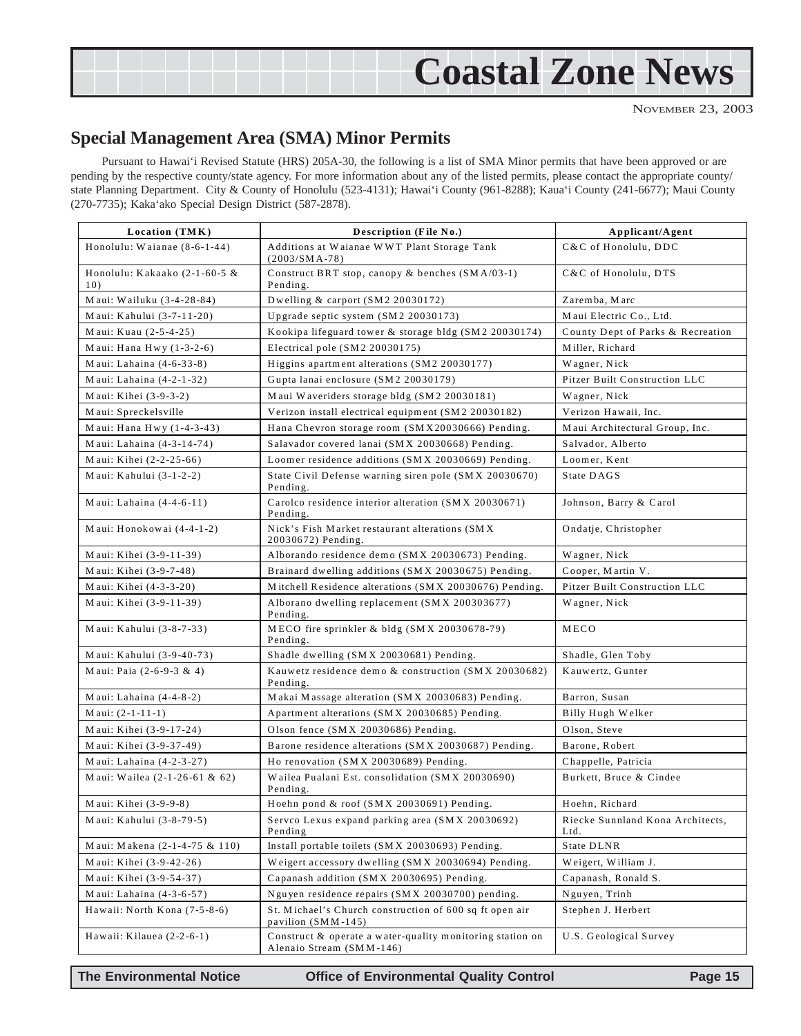<span id="page-14-0"></span>

NOVEMBER 23, 2003

### **Special Management Area (SMA) Minor Permits**

Pursuant to Hawai'i Revised Statute (HRS) 205A-30, the following is a list of SMA Minor permits that have been approved or are pending by the respective county/state agency. For more information about any of the listed permits, please contact the appropriate county/ state Planning Department. City & County of Honolulu (523-4131); Hawai'i County (961-8288); Kaua'i County (241-6677); Maui County (270-7735); Kaka'ako Special Design District (587-2878).

| Location (TMK)                       | Description (File No.)                                                                | Applicant/Agent                          |
|--------------------------------------|---------------------------------------------------------------------------------------|------------------------------------------|
| Honolulu: Waianae $(8-6-1-44)$       | Additions at Waianae WWT Plant Storage Tank<br>$(2003/SMA-78)$                        | C&C of Honolulu, DDC                     |
| Honolulu: Kakaako (2-1-60-5 &<br>10) | Construct BRT stop, canopy & benches (SMA/03-1)<br>Pending.                           | C&C of Honolulu, DTS                     |
| Maui: Wailuku (3-4-28-84)            | Dwelling & carport (SM2 20030172)                                                     | Zaremba, Marc                            |
| Maui: Kahului (3-7-11-20)            | Upgrade septic system (SM2 20030173)                                                  | Maui Electric Co., Ltd.                  |
| Maui: Kuau (2-5-4-25)                | Kookipa lifeguard tower & storage bldg (SM2 20030174)                                 | County Dept of Parks & Recreation        |
| Maui: Hana Hwy $(1-3-2-6)$           | Electrical pole (SM2 20030175)                                                        | Miller, Richard                          |
| Maui: Lahaina (4-6-33-8)             | Higgins apartment alterations (SM2 20030177)                                          | Wagner, Nick                             |
| Maui: Lahaina (4-2-1-32)             | Gupta lanai enclosure (SM2 20030179)                                                  | Pitzer Built Construction LLC            |
| Maui: Kihei (3-9-3-2)                | Maui Waveriders storage bldg (SM2 20030181)                                           | Wagner, Nick                             |
| Maui: Spreckelsville                 | Verizon install electrical equipment (SM2 20030182)                                   | Verizon Hawaii, Inc.                     |
| Maui: Hana Hwy (1-4-3-43)            | Hana Chevron storage room (SMX20030666) Pending.                                      | Maui Architectural Group, Inc.           |
| Maui: Lahaina (4-3-14-74)            | Salavador covered lanai (SMX 20030668) Pending.                                       | Salvador, Alberto                        |
| Maui: Kihei (2-2-25-66)              | Loomer residence additions (SMX 20030669) Pending.                                    | Loomer, Kent                             |
| Maui: Kahului $(3-1-2-2)$            | State Civil Defense warning siren pole (SMX 20030670)<br>State DAGS<br>Pending.       |                                          |
| Maui: Lahaina $(4-4-6-11)$           | Carolco residence interior alteration (SMX 20030671)<br>Pending.                      | Johnson, Barry & Carol                   |
| Maui: Honokowai (4-4-1-2)            | Nick's Fish Market restaurant alterations (SMX<br>20030672) Pending.                  | Ondatje, Christopher                     |
| Maui: Kihei (3-9-11-39)              | Alborando residence demo (SMX 20030673) Pending.                                      | Wagner, Nick                             |
| Maui: Kihei (3-9-7-48)               | Brainard dwelling additions (SMX 20030675) Pending.                                   | Cooper, Martin V.                        |
| Maui: Kihei (4-3-3-20)               | Mitchell Residence alterations (SMX 20030676) Pending.                                | Pitzer Built Construction LLC            |
| Maui: Kihei (3-9-11-39)              | Alborano dwelling replacement (SMX 200303677)<br>Pending.                             | Wagner, Nick                             |
| Maui: Kahului (3-8-7-33)             | MECO fire sprinkler & bldg (SMX 20030678-79)<br>Pending.                              | MECO                                     |
| Maui: Kahului (3-9-40-73)            | Shadle dwelling (SMX 20030681) Pending.                                               | Shadle, Glen Toby                        |
| Maui: Paia (2-6-9-3 & 4)             | Kauwetz residence demo & construction (SMX 20030682)<br>Pending.                      | Kauwertz, Gunter                         |
| Maui: Lahaina $(4-4-8-2)$            | Makai Massage alteration (SMX 20030683) Pending.                                      | Barron, Susan                            |
| Maui: $(2-1-11-1)$                   | Apartment alterations (SMX 20030685) Pending.                                         | Billy Hugh Welker                        |
| Maui: Kihei (3-9-17-24)              | Olson fence (SMX 20030686) Pending.                                                   | Olson, Steve                             |
| Maui: Kihei (3-9-37-49)              | Barone residence alterations (SMX 20030687) Pending.                                  | Barone, Robert                           |
| Maui: Lahaina (4-2-3-27)             | Ho renovation (SMX 20030689) Pending.                                                 | Chappelle, Patricia                      |
| Maui: Wailea (2-1-26-61 & 62)        | Wailea Pualani Est. consolidation (SMX 20030690)<br>Pending.                          | Burkett, Bruce & Cindee                  |
| Maui: Kihei (3-9-9-8)                | Hoehn pond & roof (SMX 20030691) Pending.                                             | Hoehn, Richard                           |
| Maui: Kahului (3-8-79-5)             | Servco Lexus expand parking area (SMX 20030692)<br>Pending                            | Riecke Sunnland Kona Architects,<br>Ltd. |
| Maui: Makena (2-1-4-75 & 110)        | Install portable toilets (SMX 20030693) Pending.                                      | State DLNR                               |
| Maui: Kihei (3-9-42-26)              | Weigert accessory dwelling (SMX 20030694) Pending.                                    | Weigert, William J.                      |
| Maui: Kihei (3-9-54-37)              | Capanash addition (SMX 20030695) Pending.                                             | Capanash, Ronald S.                      |
| Maui: Lahaina (4-3-6-57)             | Nguyen residence repairs (SMX 20030700) pending.                                      | Nguyen, Trinh                            |
| Hawaii: North Kona (7-5-8-6)         | St. Michael's Church construction of 600 sq ft open air<br>pavilion (SMM-145)         | Stephen J. Herbert                       |
| Hawaii: Kilauea (2-2-6-1)            | Construct & operate a water-quality monitoring station on<br>Alenaio Stream (SMM-146) | U.S. Geological Survey                   |

**The Environmental Notice Office of Environmental Quality Control Page 15**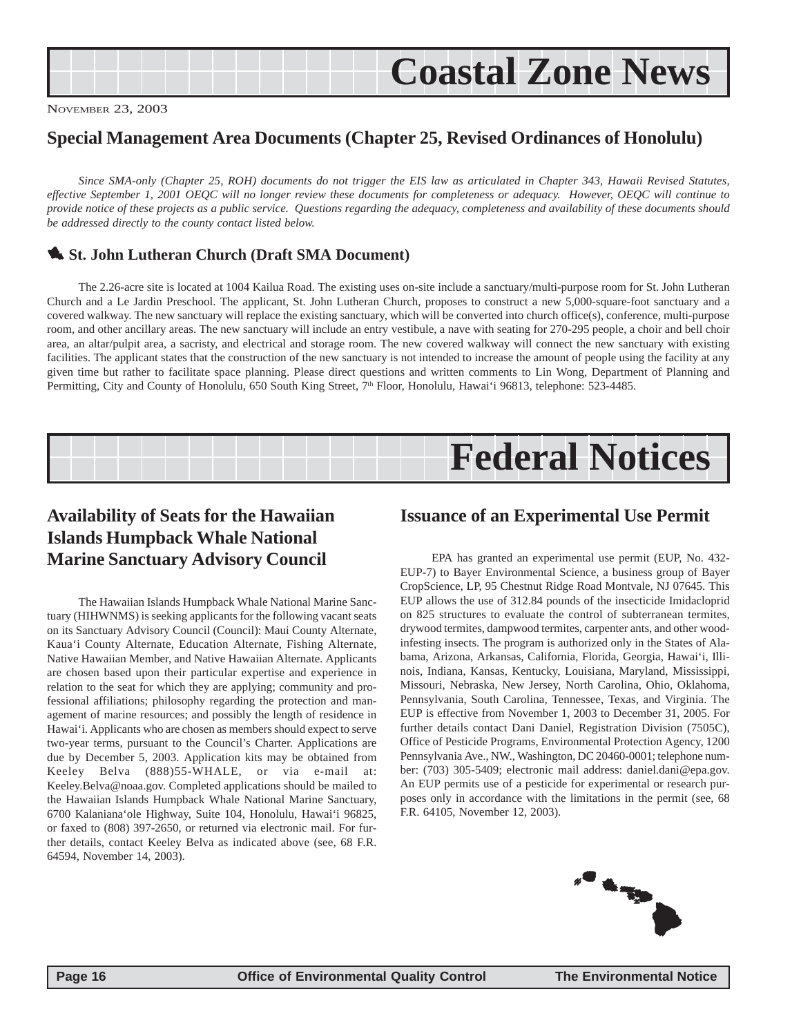## <span id="page-15-0"></span>**Coastal Zone News**

NOVEMBER 23, 2003

### **Special Management Area Documents (Chapter 25, Revised Ordinances of Honolulu)**

*Since SMA-only (Chapter 25, ROH) documents do not trigger the EIS law as articulated in Chapter 343, Hawaii Revised Statutes, effective September 1, 2001 OEQC will no longer review these documents for completeness or adequacy. However, OEQC will continue to provide notice of these projects as a public service. Questions regarding the adequacy, completeness and availability of these documents should be addressed directly to the county contact listed below.*

#### **1. St. John Lutheran Church (Draft SMA Document)**

The 2.26-acre site is located at 1004 Kailua Road. The existing uses on-site include a sanctuary/multi-purpose room for St. John Lutheran Church and a Le Jardin Preschool. The applicant, St. John Lutheran Church, proposes to construct a new 5,000-square-foot sanctuary and a covered walkway. The new sanctuary will replace the existing sanctuary, which will be converted into church office(s), conference, multi-purpose room, and other ancillary areas. The new sanctuary will include an entry vestibule, a nave with seating for 270-295 people, a choir and bell choir area, an altar/pulpit area, a sacristy, and electrical and storage room. The new covered walkway will connect the new sanctuary with existing facilities. The applicant states that the construction of the new sanctuary is not intended to increase the amount of people using the facility at any given time but rather to facilitate space planning. Please direct questions and written comments to Lin Wong, Department of Planning and Permitting, City and County of Honolulu, 650 South King Street, 7<sup>th</sup> Floor, Honolulu, Hawai'i 96813, telephone: 523-4485.



### **Availability of Seats for the Hawaiian Islands Humpback Whale National Marine Sanctuary Advisory Council**

The Hawaiian Islands Humpback Whale National Marine Sanctuary (HIHWNMS) is seeking applicants for the following vacant seats on its Sanctuary Advisory Council (Council): Maui County Alternate, Kaua'i County Alternate, Education Alternate, Fishing Alternate, Native Hawaiian Member, and Native Hawaiian Alternate. Applicants are chosen based upon their particular expertise and experience in relation to the seat for which they are applying; community and professional affiliations; philosophy regarding the protection and management of marine resources; and possibly the length of residence in Hawai'i. Applicants who are chosen as members should expect to serve two-year terms, pursuant to the Council's Charter. Applications are due by December 5, 2003. Application kits may be obtained from Keeley Belva (888)55-WHALE, or via e-mail at: Keeley.Belva@noaa.gov. Completed applications should be mailed to the Hawaiian Islands Humpback Whale National Marine Sanctuary, 6700 Kalaniana'ole Highway, Suite 104, Honolulu, Hawai'i 96825, or faxed to (808) 397-2650, or returned via electronic mail. For further details, contact Keeley Belva as indicated above (see, 68 F.R. 64594, November 14, 2003).

#### **Issuance of an Experimental Use Permit**

EPA has granted an experimental use permit (EUP, No. 432- EUP-7) to Bayer Environmental Science, a business group of Bayer CropScience, LP, 95 Chestnut Ridge Road Montvale, NJ 07645. This EUP allows the use of 312.84 pounds of the insecticide Imidacloprid on 825 structures to evaluate the control of subterranean termites, drywood termites, dampwood termites, carpenter ants, and other woodinfesting insects. The program is authorized only in the States of Alabama, Arizona, Arkansas, California, Florida, Georgia, Hawai'i, Illinois, Indiana, Kansas, Kentucky, Louisiana, Maryland, Mississippi, Missouri, Nebraska, New Jersey, North Carolina, Ohio, Oklahoma, Pennsylvania, South Carolina, Tennessee, Texas, and Virginia. The EUP is effective from November 1, 2003 to December 31, 2005. For further details contact Dani Daniel, Registration Division (7505C), Office of Pesticide Programs, Environmental Protection Agency, 1200 Pennsylvania Ave., NW., Washington, DC 20460-0001; telephone number: (703) 305-5409; electronic mail address: daniel.dani@epa.gov. An EUP permits use of a pesticide for experimental or research purposes only in accordance with the limitations in the permit (see, 68 F.R. 64105, November 12, 2003).